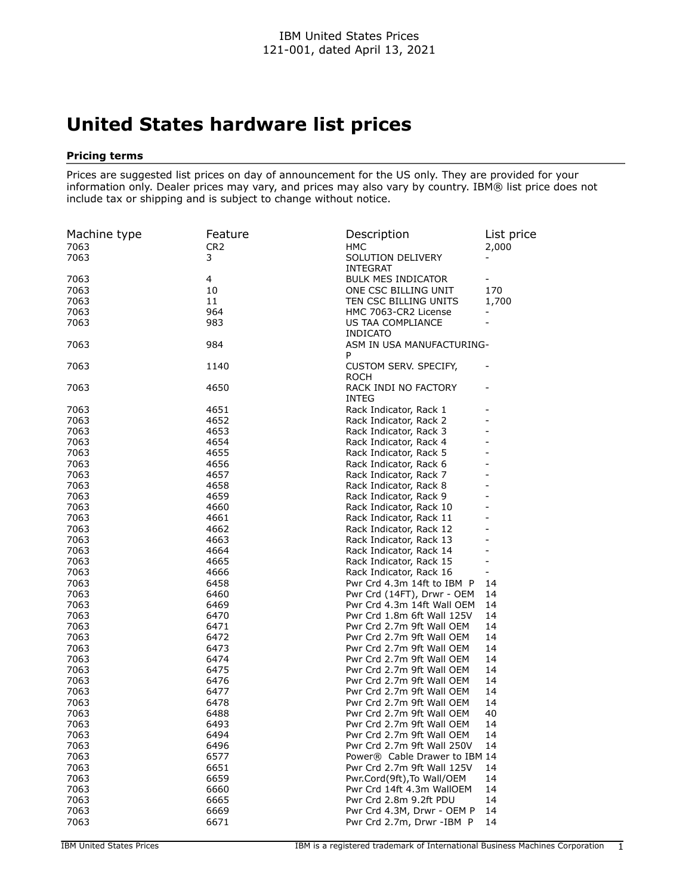## **United States hardware list prices**

## **Pricing terms**

Prices are suggested list prices on day of announcement for the US only. They are provided for your information only. Dealer prices may vary, and prices may also vary by country. IBM® list price does not include tax or shipping and is subject to change without notice.

| Machine type | Feature         | Description                                             | List price               |
|--------------|-----------------|---------------------------------------------------------|--------------------------|
| 7063         | CR <sub>2</sub> | <b>HMC</b>                                              | 2,000                    |
| 7063         | 3               | SOLUTION DELIVERY                                       |                          |
|              |                 | <b>INTEGRAT</b>                                         |                          |
| 7063         | 4               | <b>BULK MES INDICATOR</b>                               |                          |
| 7063         | 10              | ONE CSC BILLING UNIT                                    | 170                      |
| 7063         | 11              | TEN CSC BILLING UNITS                                   | 1,700                    |
| 7063         | 964             | HMC 7063-CR2 License                                    |                          |
| 7063         | 983             | US TAA COMPLIANCE                                       |                          |
|              |                 | <b>INDICATO</b>                                         |                          |
| 7063         | 984             | ASM IN USA MANUFACTURING-                               |                          |
|              |                 | P                                                       |                          |
| 7063         | 1140            | CUSTOM SERV. SPECIFY,                                   |                          |
|              |                 | <b>ROCH</b>                                             |                          |
| 7063         | 4650            | RACK INDI NO FACTORY                                    |                          |
|              |                 | INTEG                                                   |                          |
| 7063         | 4651            | Rack Indicator, Rack 1                                  |                          |
| 7063         | 4652            | Rack Indicator, Rack 2                                  |                          |
| 7063         | 4653            | Rack Indicator, Rack 3                                  |                          |
| 7063         | 4654            | Rack Indicator, Rack 4                                  |                          |
| 7063         | 4655            | Rack Indicator, Rack 5                                  |                          |
| 7063         | 4656            | Rack Indicator, Rack 6                                  |                          |
| 7063         | 4657            | Rack Indicator, Rack 7                                  |                          |
| 7063         | 4658            | Rack Indicator, Rack 8                                  |                          |
| 7063         | 4659            | Rack Indicator, Rack 9                                  |                          |
| 7063         | 4660            | Rack Indicator, Rack 10                                 |                          |
| 7063         | 4661            | Rack Indicator, Rack 11                                 |                          |
| 7063         | 4662            | Rack Indicator, Rack 12                                 |                          |
| 7063         | 4663            | Rack Indicator, Rack 13                                 |                          |
| 7063         | 4664            | Rack Indicator, Rack 14                                 |                          |
| 7063         | 4665            | Rack Indicator, Rack 15                                 | ۳                        |
| 7063         | 4666            | Rack Indicator, Rack 16                                 | $\overline{\phantom{a}}$ |
| 7063         | 6458            | Pwr Crd 4.3m 14ft to IBM P                              | 14                       |
| 7063         | 6460            | Pwr Crd (14FT), Drwr - OEM                              | 14                       |
| 7063         | 6469            | Pwr Crd 4.3m 14ft Wall OEM                              | 14                       |
| 7063         | 6470            | Pwr Crd 1.8m 6ft Wall 125V                              | 14                       |
| 7063         | 6471            | Pwr Crd 2.7m 9ft Wall OEM                               | 14                       |
| 7063         | 6472            | Pwr Crd 2.7m 9ft Wall OEM                               | 14                       |
| 7063         | 6473            | Pwr Crd 2.7m 9ft Wall OEM                               | 14                       |
| 7063         | 6474            | Pwr Crd 2.7m 9ft Wall OEM                               | 14                       |
| 7063         | 6475            | Pwr Crd 2.7m 9ft Wall OEM                               | 14                       |
| 7063         | 6476            | Pwr Crd 2.7m 9ft Wall OEM                               | 14                       |
| 7063         | 6477            | Pwr Crd 2.7m 9ft Wall OEM                               | 14                       |
| 7063         | 6478            | Pwr Crd 2.7m 9ft Wall OEM                               | 14                       |
| 7063         | 6488            | Pwr Crd 2.7m 9ft Wall OEM                               | 40                       |
| 7063         | 6493            | Pwr Crd 2.7m 9ft Wall OEM                               | 14                       |
| 7063         | 6494            | Pwr Crd 2.7m 9ft Wall OEM                               | 14                       |
| 7063         | 6496            | Pwr Crd 2.7m 9ft Wall 250V                              | 14                       |
| 7063         |                 | Power® Cable Drawer to IBM 14                           |                          |
| 7063         | 6577<br>6651    | Pwr Crd 2.7m 9ft Wall 125V                              |                          |
|              |                 |                                                         | 14                       |
| 7063<br>7063 | 6659<br>6660    | Pwr.Cord(9ft), To Wall/OEM<br>Pwr Crd 14ft 4.3m WallOEM | 14<br>14                 |
|              |                 |                                                         |                          |
| 7063         | 6665            | Pwr Crd 2.8m 9.2ft PDU                                  | 14                       |
| 7063         | 6669            | Pwr Crd 4.3M, Drwr - OEM P<br>Pwr Crd 2.7m, Drwr -IBM P | 14                       |
| 7063         | 6671            |                                                         | 14                       |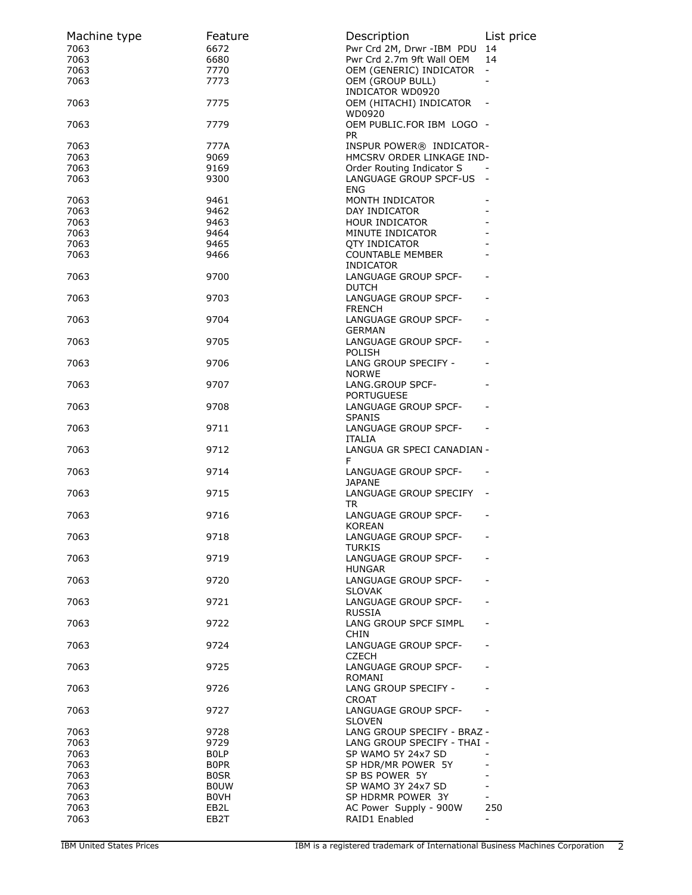| Machine type | Feature                    | Description                                                      | List price               |
|--------------|----------------------------|------------------------------------------------------------------|--------------------------|
| 7063<br>7063 | 6672<br>6680               | Pwr Crd 2M, Drwr -IBM PDU<br>Pwr Crd 2.7m 9ft Wall OEM           | 14<br>14                 |
| 7063         | 7770                       | OEM (GENERIC) INDICATOR                                          | $\blacksquare$           |
| 7063         | 7773                       | OEM (GROUP BULL)                                                 |                          |
|              |                            | <b>INDICATOR WD0920</b>                                          |                          |
| 7063         | 7775                       | OEM (HITACHI) INDICATOR<br>WD0920                                |                          |
| 7063         | 7779                       | OEM PUBLIC.FOR IBM LOGO -<br>PR                                  |                          |
| 7063         | 777A                       | INSPUR POWER® INDICATOR-                                         |                          |
| 7063         | 9069                       | HMCSRV ORDER LINKAGE IND-                                        |                          |
| 7063         | 9169                       | Order Routing Indicator S                                        |                          |
| 7063         | 9300                       | LANGUAGE GROUP SPCF-US -<br>ENG                                  |                          |
| 7063         | 9461                       | MONTH INDICATOR                                                  |                          |
| 7063         | 9462                       | DAY INDICATOR                                                    |                          |
| 7063         | 9463                       | HOUR INDICATOR                                                   |                          |
| 7063<br>7063 | 9464<br>9465               | MINUTE INDICATOR<br><b>QTY INDICATOR</b>                         |                          |
| 7063         | 9466                       | <b>COUNTABLE MEMBER</b>                                          |                          |
|              |                            | <b>INDICATOR</b>                                                 |                          |
| 7063         | 9700                       | LANGUAGE GROUP SPCF-<br><b>DUTCH</b>                             |                          |
| 7063         | 9703                       | LANGUAGE GROUP SPCF-<br><b>FRENCH</b>                            |                          |
| 7063         | 9704                       | LANGUAGE GROUP SPCF-<br><b>GERMAN</b>                            |                          |
| 7063         | 9705                       | LANGUAGE GROUP SPCF-<br><b>POLISH</b>                            |                          |
| 7063         | 9706                       | LANG GROUP SPECIFY -<br><b>NORWE</b>                             |                          |
| 7063         | 9707                       | LANG.GROUP SPCF-<br><b>PORTUGUESE</b>                            |                          |
| 7063         | 9708                       | LANGUAGE GROUP SPCF-<br><b>SPANIS</b>                            |                          |
| 7063         | 9711                       | LANGUAGE GROUP SPCF-<br>$\sim 100$ km s $^{-1}$<br><b>ITALIA</b> |                          |
| 7063         | 9712                       | LANGUA GR SPECI CANADIAN -<br>F.                                 |                          |
| 7063         | 9714                       | LANGUAGE GROUP SPCF-<br><b>JAPANE</b>                            |                          |
| 7063         | 9715                       | LANGUAGE GROUP SPECIFY -<br>TR                                   |                          |
| 7063         | 9716                       | LANGUAGE GROUP SPCF-<br><b>KOREAN</b>                            |                          |
| 7063         | 9718                       | LANGUAGE GROUP SPCF-<br>TURKIS                                   |                          |
| 7063         | 9719                       | LANGUAGE GROUP SPCF-<br><b>HUNGAR</b>                            |                          |
| 7063         | 9720                       | LANGUAGE GROUP SPCF-<br><b>SLOVAK</b>                            |                          |
| 7063         | 9721                       | LANGUAGE GROUP SPCF-<br><b>RUSSIA</b>                            |                          |
| 7063         | 9722                       | LANG GROUP SPCF SIMPL<br><b>CHIN</b>                             |                          |
| 7063         | 9724                       | LANGUAGE GROUP SPCF-<br><b>CZECH</b>                             |                          |
| 7063         | 9725                       | LANGUAGE GROUP SPCF-<br><b>ROMANI</b>                            |                          |
| 7063         | 9726                       | LANG GROUP SPECIFY -<br><b>CROAT</b>                             |                          |
| 7063         | 9727                       | LANGUAGE GROUP SPCF-<br><b>SLOVEN</b>                            |                          |
| 7063         | 9728                       | LANG GROUP SPECIFY - BRAZ -                                      |                          |
| 7063         | 9729                       | LANG GROUP SPECIFY - THAI -                                      |                          |
| 7063<br>7063 | <b>BOLP</b>                | SP WAMO 5Y 24x7 SD                                               |                          |
| 7063         | <b>BOPR</b><br><b>BOSR</b> | SP HDR/MR POWER 5Y<br>SP BS POWER 5Y                             |                          |
| 7063         | <b>BOUW</b>                | SP WAMO 3Y 24x7 SD                                               |                          |
| 7063         | <b>BOVH</b>                | SP HDRMR POWER 3Y                                                |                          |
| 7063         | EB2L                       | AC Power Supply - 900W                                           | 250                      |
| 7063         | EB2T                       | RAID1 Enabled                                                    | $\overline{\phantom{0}}$ |